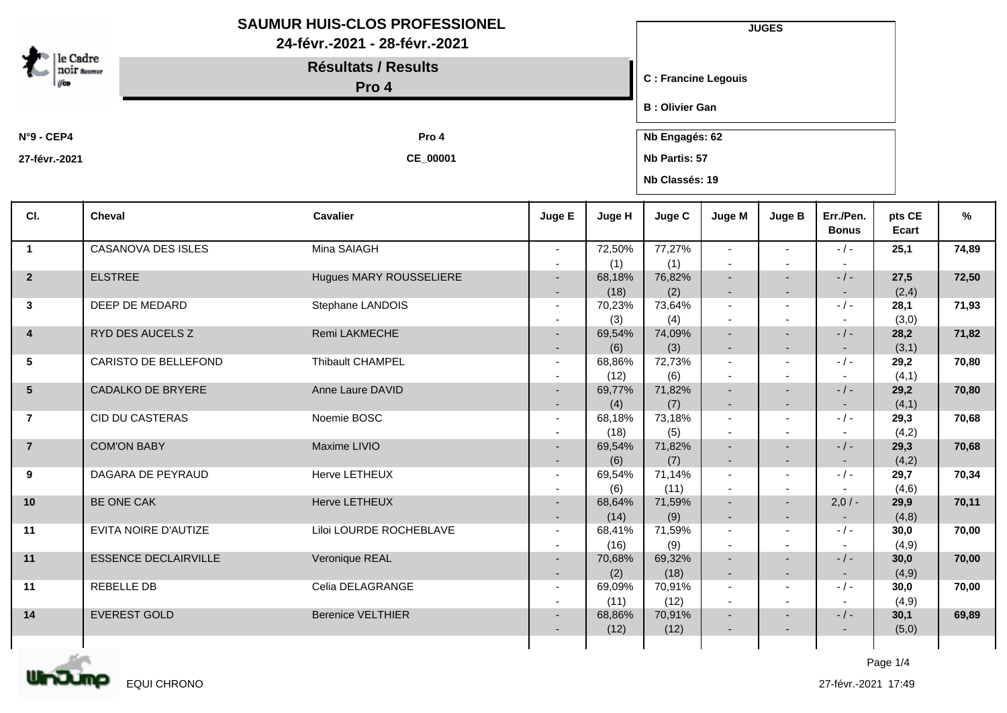|                         | <b>SAUMUR HUIS-CLOS PROFESSIONEL</b><br>24-févr.-2021 - 28-févr.-2021 |                                     |                                    |                |                        | <b>JUGES</b>                                         |                                                      |                           |                 |       |  |  |
|-------------------------|-----------------------------------------------------------------------|-------------------------------------|------------------------------------|----------------|------------------------|------------------------------------------------------|------------------------------------------------------|---------------------------|-----------------|-------|--|--|
| le Cadre                | <b>NOIF</b> Summur                                                    | <b>Résultats / Results</b><br>Pro 4 |                                    |                |                        |                                                      | <b>C</b> : Francine Legouis                          |                           |                 |       |  |  |
|                         |                                                                       |                                     |                                    |                | <b>B</b> : Olivier Gan |                                                      |                                                      |                           |                 |       |  |  |
| $N°9 - CEP4$            |                                                                       | Pro 4                               |                                    |                |                        |                                                      | Nb Engagés: 62                                       |                           |                 |       |  |  |
| 27-févr.-2021           |                                                                       | CE_00001                            |                                    |                |                        | Nb Partis: 57<br>Nb Classés: 19                      |                                                      |                           |                 |       |  |  |
| CI.                     | Cheval                                                                | <b>Cavalier</b>                     | Juge E                             | Juge H         | Juge C                 | Juge M                                               | Juge B                                               | Err./Pen.<br><b>Bonus</b> | pts CE<br>Ecart | %     |  |  |
| $\overline{\mathbf{1}}$ | CASANOVA DES ISLES                                                    | Mina SAIAGH                         |                                    | 72,50%         | 77,27%                 | $\overline{\phantom{0}}$                             |                                                      | $-/-$                     | 25,1            | 74,89 |  |  |
| $\overline{2}$          | <b>ELSTREE</b>                                                        | Hugues MARY ROUSSELIERE             | $\overline{\phantom{a}}$           | (1)<br>68,18%  | (1)<br>76,82%          | $\sim$                                               | ٠                                                    | $-/-$                     | 27,5            | 72,50 |  |  |
|                         |                                                                       |                                     | $\overline{\phantom{a}}$           | (18)           | (2)                    | $\overline{\phantom{a}}$                             | $\overline{\phantom{a}}$                             | $\sim$                    | (2,4)           |       |  |  |
| 3                       | DEEP DE MEDARD                                                        | Stephane LANDOIS                    | $\overline{\phantom{a}}$           | 70,23%         | 73,64%                 | $\blacksquare$                                       |                                                      | $-/-$                     | 28,1            | 71,93 |  |  |
|                         | RYD DES AUCELS Z                                                      | Remi LAKMECHE                       |                                    | (3)            | (4)                    |                                                      |                                                      |                           | (3,0)           |       |  |  |
| 4                       |                                                                       |                                     | $\sim$                             | 69,54%<br>(6)  | 74,09%<br>(3)          | $\overline{\phantom{a}}$<br>٠                        | $\overline{\phantom{a}}$<br>٠                        | $-/-$                     | 28,2<br>(3,1)   | 71,82 |  |  |
| 5                       | CARISTO DE BELLEFOND                                                  | Thibault CHAMPEL                    | $\overline{\phantom{a}}$           | 68,86%         | 72,73%                 | $\sim$                                               | $\blacksquare$                                       | $-/-$                     | 29,2            | 70,80 |  |  |
|                         |                                                                       |                                     |                                    | (12)           | (6)                    | $\sim$                                               |                                                      |                           | (4,1)           |       |  |  |
| $5\phantom{.0}$         | CADALKO DE BRYERE                                                     | Anne Laure DAVID                    |                                    | 69,77%<br>(4)  | 71,82%<br>(7)          | $\overline{\phantom{a}}$                             | $\overline{\phantom{a}}$                             | $-/-$<br>$\sim$           | 29,2<br>(4,1)   | 70,80 |  |  |
| $\overline{7}$          | <b>CID DU CASTERAS</b>                                                | Noemie BOSC                         |                                    | 68,18%         | 73,18%                 | $\overline{\phantom{a}}$                             |                                                      | $-/-$                     | 29,3            | 70,68 |  |  |
|                         |                                                                       |                                     |                                    | (18)           | (5)                    | $\blacksquare$                                       |                                                      |                           | (4,2)           |       |  |  |
| $\overline{7}$          | <b>COM'ON BABY</b>                                                    | Maxime LIVIO                        |                                    | 69,54%         | 71,82%                 |                                                      |                                                      | $-/-$                     | 29,3            | 70,68 |  |  |
| 9                       | DAGARA DE PEYRAUD                                                     | Herve LETHEUX                       | $\sim$<br>$\overline{\phantom{a}}$ | (6)<br>69,54%  | (7)<br>71,14%          | $\overline{\phantom{a}}$<br>$\overline{\phantom{a}}$ | $\overline{\phantom{a}}$<br>$\overline{\phantom{a}}$ | $\sim$<br>$-/-$           | (4,2)<br>29,7   | 70,34 |  |  |
|                         |                                                                       |                                     |                                    | (6)            | (11)                   | $\blacksquare$                                       | $\blacksquare$                                       |                           | (4,6)           |       |  |  |
| 10                      | BE ONE CAK                                                            | Herve LETHEUX                       |                                    | 68,64%         | 71,59%                 |                                                      | ٠                                                    | $2,0/-$                   | 29,9            | 70,11 |  |  |
| 11                      | EVITA NOIRE D'AUTIZE                                                  | Liloi LOURDE ROCHEBLAVE             | $\overline{\phantom{a}}$           | (14)<br>68,41% | (9)<br>71,59%          |                                                      |                                                      | $-/-$                     | (4,8)<br>30,0   | 70,00 |  |  |
|                         |                                                                       |                                     |                                    | (16)           | (9)                    |                                                      |                                                      |                           | (4, 9)          |       |  |  |
| 11                      | <b>ESSENCE DECLAIRVILLE</b>                                           | Veronique REAL                      | $\blacksquare$                     | 70,68%         | 69,32%                 |                                                      |                                                      | $-$ / $-$                 | 30,0            | 70,00 |  |  |
|                         |                                                                       |                                     |                                    | (2)            | (18)                   |                                                      |                                                      |                           | (4,9)           |       |  |  |
| 11                      | REBELLE DB                                                            | Celia DELAGRANGE                    | $\overline{\phantom{a}}$           | 69,09%<br>(11) | 70,91%<br>(12)         |                                                      |                                                      | $-/-$                     | 30,0<br>(4,9)   | 70,00 |  |  |
| 14                      | EVEREST GOLD                                                          | <b>Berenice VELTHIER</b>            | $\overline{\phantom{a}}$           | 68,86%         | 70,91%                 |                                                      |                                                      | $-$ / $-$                 | 30,1            | 69,89 |  |  |
|                         |                                                                       |                                     |                                    | (12)           | (12)                   |                                                      |                                                      | $\overline{\phantom{a}}$  | (5,0)           |       |  |  |



Page 1/4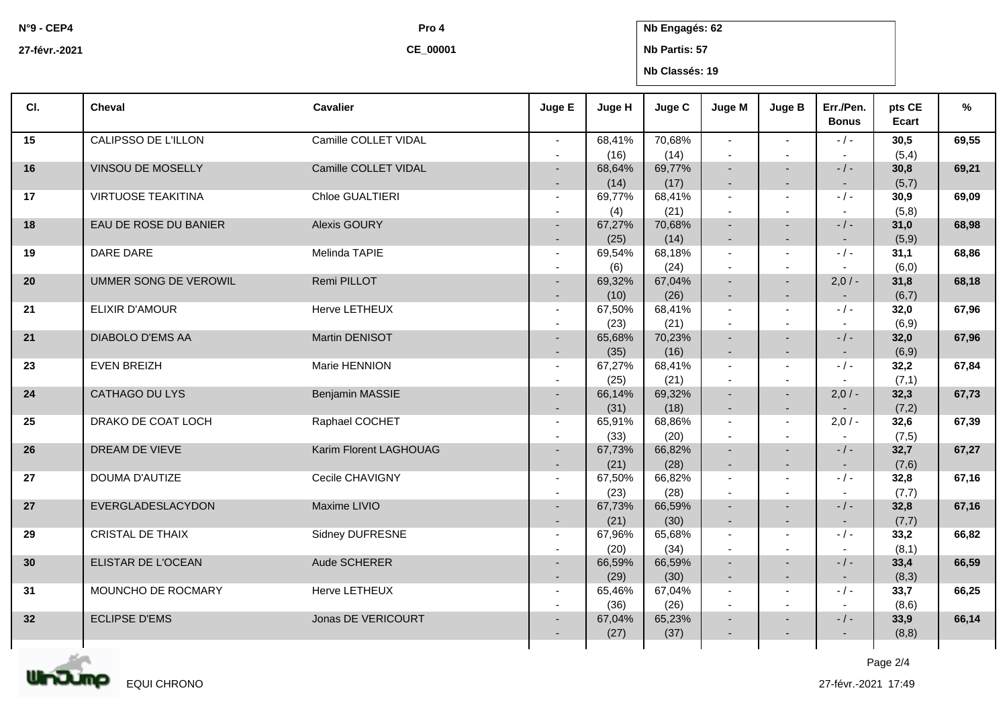**N°9 - CEP4 27-févr.-2021** **CE\_00001**

## **Pro 4 Nb Engagés: 62**

**Nb Partis: 57**

**Nb Classés: 19**

| CI. | Cheval                    | <b>Cavalier</b>        | Juge E                                     | Juge H         | Juge C         | Juge M                                     | Juge B                                               | Err./Pen.<br><b>Bonus</b>             | pts CE<br>Ecart | %     |
|-----|---------------------------|------------------------|--------------------------------------------|----------------|----------------|--------------------------------------------|------------------------------------------------------|---------------------------------------|-----------------|-------|
| 15  | CALIPSSO DE L'ILLON       | Camille COLLET VIDAL   | $\sim$                                     | 68,41%         | 70,68%         | $\mathbf{r}$                               | $\sim$                                               | $-$ / $-$                             | 30,5            | 69,55 |
| 16  | VINSOU DE MOSELLY         | Camille COLLET VIDAL   | $\sim$<br>$\sim$                           | (16)<br>68,64% | (14)<br>69,77% | $\sim$<br>$\sim$                           | $\sim$<br>$\sim$                                     | $\sim$<br>$-/-$                       | (5,4)<br>30,8   | 69,21 |
|     |                           |                        | $\sim$                                     | (14)           | (17)           | $\sim$                                     | $\sim$                                               | $\sim$                                | (5,7)           |       |
| 17  | <b>VIRTUOSE TEAKITINA</b> | Chloe GUALTIERI        | $\sim$                                     | 69,77%         | 68,41%<br>(21) | $\sim$                                     | $\sim$                                               | $-$ / $-$                             | 30,9<br>(5,8)   | 69,09 |
| 18  | EAU DE ROSE DU BANIER     | Alexis GOURY           | $\blacksquare$<br>$\overline{\phantom{a}}$ | (4)<br>67,27%  | 70,68%         | $\overline{\phantom{a}}$<br>$\blacksquare$ | $\overline{\phantom{a}}$<br>$\overline{\phantom{a}}$ | $-/-$                                 | 31,0            | 68,98 |
|     |                           |                        | $\sim$                                     | (25)           | (14)           | $\overline{\phantom{a}}$                   | $\sim$                                               | $\sim$                                | (5,9)           |       |
| 19  | DARE DARE                 | Melinda TAPIE          | $\sim$                                     | 69,54%         | 68,18%         | $\blacksquare$                             | $\sim$                                               | $-1-$                                 | 31,1            | 68,86 |
|     |                           |                        | $\sim$                                     | (6)            | (24)           |                                            |                                                      |                                       | (6, 0)          |       |
| 20  | UMMER SONG DE VEROWIL     | Remi PILLOT            | $\sim$                                     | 69,32%         | 67,04%         | $\blacksquare$                             | $\sim$                                               | $2,0/-$                               | 31,8            | 68,18 |
|     |                           |                        | $\sim$                                     | (10)           | (26)           | $\blacksquare$                             | $\sim$                                               | $\sim$                                | (6,7)           |       |
| 21  | <b>ELIXIR D'AMOUR</b>     | Herve LETHEUX          | $\blacksquare$<br>$\sim$                   | 67,50%<br>(23) | 68,41%<br>(21) | $\blacksquare$<br>$\overline{\phantom{a}}$ | $\sim$<br>$\overline{\phantom{a}}$                   | $-/-$<br>$\sim$                       | 32,0<br>(6, 9)  | 67,96 |
| 21  | DIABOLO D'EMS AA          | Martin DENISOT         | $\sim$                                     | 65,68%         | 70,23%         |                                            | $\sim$                                               | $-/-$                                 | 32,0            | 67,96 |
|     |                           |                        | $\overline{\phantom{a}}$                   | (35)           | (16)           | $\overline{\phantom{a}}$                   | $\overline{a}$                                       | $\sim$                                | (6, 9)          |       |
| 23  | <b>EVEN BREIZH</b>        | Marie HENNION          | $\sim$                                     | 67,27%         | 68,41%         | $\blacksquare$                             | $\sim$                                               | $-/-$                                 | 32,2            | 67,84 |
|     |                           |                        | $\sim$                                     | (25)           | (21)           | $\overline{\phantom{a}}$                   | $\sim$                                               |                                       | (7,1)           |       |
| 24  | CATHAGO DU LYS            | Benjamin MASSIE        | $\sim$                                     | 66,14%         | 69,32%         | $\sim$                                     | $\sim$                                               | $2,0/-$                               | 32,3            | 67,73 |
|     |                           |                        | $\sim$                                     | (31)           | (18)           | $\blacksquare$                             | $\sim$                                               | $\sim$                                | (7,2)           |       |
| 25  | DRAKO DE COAT LOCH        | Raphael COCHET         | $\sim$                                     | 65,91%         | 68,86%         | $\sim$                                     | $\sim$                                               | $2,0/-$                               | 32,6            | 67,39 |
| 26  | DREAM DE VIEVE            | Karim Florent LAGHOUAG | $\sim$<br>$\sim$                           | (33)<br>67,73% | (20)<br>66,82% | $\sim$                                     | $\sim$                                               | $\overline{\phantom{a}}$<br>$-$ / $-$ | (7, 5)<br>32,7  | 67,27 |
|     |                           |                        | $\sim$                                     | (21)           | (28)           | $\sim$                                     | $\sim$                                               | $\sim$                                | (7, 6)          |       |
| 27  | DOUMA D'AUTIZE            | Cecile CHAVIGNY        | $\sim$                                     | 67,50%         | 66,82%         | $\sim$                                     | $\sim$                                               | $-/-$                                 | 32,8            | 67,16 |
|     |                           |                        | $\sim$                                     | (23)           | (28)           |                                            |                                                      | $\sim$                                | (7,7)           |       |
| 27  | EVERGLADESLACYDON         | Maxime LIVIO           | $\sim$                                     | 67,73%         | 66,59%         | $\sim$                                     | $\overline{a}$                                       | $-/-$                                 | 32,8            | 67,16 |
|     |                           |                        | $\sim$                                     | (21)           | (30)           | $\overline{\phantom{a}}$                   | $\sim$                                               | $\sim$                                | (7,7)           |       |
| 29  | CRISTAL DE THAIX          | Sidney DUFRESNE        | $\sim$                                     | 67,96%         | 65,68%         | $\sim$                                     | $\sim$                                               | $-1-$                                 | 33,2            | 66,82 |
| 30  | ELISTAR DE L'OCEAN        | Aude SCHERER           | $\sim$                                     | (20)           | (34)           | $\sim$                                     | $\overline{\phantom{a}}$                             | $\sim$<br>$-/-$                       | (8,1)           |       |
|     |                           |                        | $\sim$<br>$\sim$                           | 66,59%<br>(29) | 66,59%<br>(30) | $\blacksquare$<br>$\blacksquare$           | $\sim$<br>$\sim$                                     | $\sim$                                | 33,4<br>(8,3)   | 66,59 |
| 31  | MOUNCHO DE ROCMARY        | Herve LETHEUX          | $\sim$                                     | 65,46%         | 67,04%         | $\sim$                                     | $\sim$                                               | $-/-$                                 | 33,7            | 66,25 |
|     |                           |                        | $\sim$                                     | (36)           | (26)           | $\overline{\phantom{a}}$                   | $\sim$                                               | $\sim$                                | (8,6)           |       |
| 32  | <b>ECLIPSE D'EMS</b>      | Jonas DE VERICOURT     | $\blacksquare$                             | 67,04%         | 65,23%         | $\overline{\phantom{a}}$                   | $\sim$                                               | $-/-$                                 | 33,9            | 66,14 |
|     |                           |                        |                                            | (27)           | (37)           |                                            |                                                      |                                       | (8, 8)          |       |
|     | atan.                     |                        |                                            |                |                |                                            |                                                      |                                       | $D = -2$        |       |

**UinJumo** EQUI CHRONO Page 2/4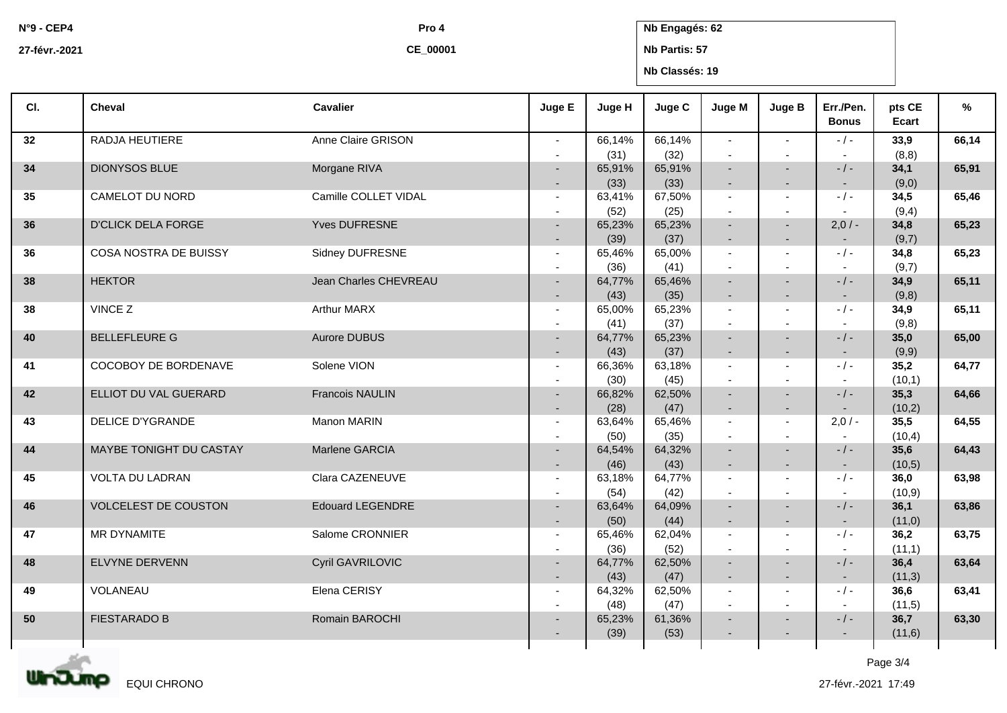**N°9 - CEP4**

**CE\_00001**

**Pro 4 Nb Engagés: 62**

**27-févr.-2021**

**Nb Partis: 57**

**Nb Classés: 19**

| CI. | <b>Cheval</b>             | <b>Cavalier</b>         | Juge E                   | Juge H         | Juge C         | Juge M                   | Juge B                                     | Err./Pen.<br><b>Bonus</b> | pts CE<br>Ecart | %     |
|-----|---------------------------|-------------------------|--------------------------|----------------|----------------|--------------------------|--------------------------------------------|---------------------------|-----------------|-------|
| 32  | RADJA HEUTIERE            | Anne Claire GRISON      | $\sim$                   | 66,14%         | 66,14%         | $\sim$                   | $\sim$                                     | $-$ / $-$                 | 33,9            | 66,14 |
|     | <b>DIONYSOS BLUE</b>      | Morgane RIVA            | $\sim$                   | (31)<br>65,91% | (32)<br>65,91% | $\overline{a}$<br>$\sim$ | $\overline{a}$<br>$\overline{\phantom{0}}$ | $\sim$<br>$-$ / $-$       | (8, 8)          | 65,91 |
| 34  |                           |                         |                          | (33)           | (33)           | $\overline{\phantom{a}}$ | $\overline{\phantom{0}}$                   | $\sim$                    | 34,1<br>(9,0)   |       |
| 35  | CAMELOT DU NORD           | Camille COLLET VIDAL    | $\sim$                   | 63,41%         | 67,50%         | $\sim$                   | $\overline{a}$                             | $-$ / $-$                 | 34,5            | 65,46 |
|     |                           |                         | $\overline{\phantom{a}}$ | (52)           | (25)           | $\sim$                   | $\blacksquare$                             |                           | (9,4)           |       |
| 36  | <b>D'CLICK DELA FORGE</b> | <b>Yves DUFRESNE</b>    | $\sim$                   | 65,23%         | 65,23%         | $\sim$                   | $\overline{\phantom{0}}$                   | $2,0/-$                   | 34,8            | 65,23 |
|     |                           |                         | $\sim$                   | (39)           | (37)           | $\sim$                   | $\overline{\phantom{a}}$                   | $\sim$                    | (9,7)           |       |
| 36  | COSA NOSTRA DE BUISSY     | Sidney DUFRESNE         | $\sim$                   | 65,46%         | 65,00%         | $\sim$                   | $\overline{a}$                             | $-$ / $-$                 | 34,8            | 65,23 |
|     |                           |                         | $\blacksquare$           | (36)           | (41)           | $\sim$                   | $\blacksquare$                             | $\sim$                    | (9,7)           |       |
| 38  | <b>HEKTOR</b>             | Jean Charles CHEVREAU   |                          | 64,77%         | 65,46%         | $\sim$                   |                                            | $-$ / $-$                 | 34,9            | 65,11 |
|     |                           |                         |                          | (43)           | (35)           | $\blacksquare$           | $\overline{\phantom{0}}$                   |                           | (9,8)           |       |
| 38  | VINCE Z                   | Arthur MARX             | $\blacksquare$           | 65,00%         | 65,23%         | $\sim$                   | $\blacksquare$                             | $-$ / $-$                 | 34,9            | 65,11 |
|     |                           |                         | $\overline{\phantom{a}}$ | (41)           | (37)           | $\sim$                   | $\blacksquare$                             |                           | (9,8)           |       |
| 40  | <b>BELLEFLEURE G</b>      | Aurore DUBUS            | $\sim$                   | 64,77%         | 65,23%         | $\sim$                   |                                            | $-/-$                     | 35,0            | 65,00 |
|     | COCOBOY DE BORDENAVE      | Solene VION             |                          | (43)           | (37)<br>63,18% | $\sim$<br>$\sim$         | $\overline{\phantom{0}}$                   | $\sim$<br>$-$ / $-$       | (9,9)           |       |
| 41  |                           |                         | $\sim$<br>$\blacksquare$ | 66,36%<br>(30) | (45)           | $\sim$                   | $\blacksquare$<br>$\blacksquare$           | $\sim$                    | 35,2<br>(10,1)  | 64,77 |
| 42  | ELLIOT DU VAL GUERARD     | <b>Francois NAULIN</b>  |                          | 66,82%         | 62,50%         | $\sim$                   |                                            | $-$ / $-$                 | 35,3            | 64,66 |
|     |                           |                         |                          | (28)           | (47)           | $\overline{a}$           | $\overline{a}$                             |                           | (10,2)          |       |
| 43  | <b>DELICE D'YGRANDE</b>   | Manon MARIN             | $\sim$                   | 63,64%         | 65,46%         | $\sim$                   | $\sim$                                     | $2,0/-$                   | 35,5            | 64,55 |
|     |                           |                         | $\overline{\phantom{a}}$ | (50)           | (35)           | $\sim$                   | $\overline{a}$                             |                           | (10,4)          |       |
| 44  | MAYBE TONIGHT DU CASTAY   | Marlene GARCIA          | $\sim$                   | 64,54%         | 64,32%         | $\overline{a}$           | $\overline{a}$                             | $-/-$                     | 35,6            | 64,43 |
|     |                           |                         |                          | (46)           | (43)           | $\sim$                   | $\blacksquare$                             | $\sim$                    | (10,5)          |       |
| 45  | <b>VOLTA DU LADRAN</b>    | Clara CAZENEUVE         | $\sim$                   | 63,18%         | 64,77%         | $\sim$                   | $\blacksquare$                             | $-$ / $-$                 | 36,0            | 63,98 |
|     |                           |                         | $\overline{\phantom{a}}$ | (54)           | (42)           | $\sim$                   | $\blacksquare$                             | $\sim$                    | (10, 9)         |       |
| 46  | VOLCELEST DE COUSTON      | <b>Edouard LEGENDRE</b> |                          | 63,64%         | 64,09%         |                          |                                            | $-/-$                     | 36,1            | 63,86 |
|     |                           |                         |                          | (50)           | (44)           | $\blacksquare$           | $\overline{\phantom{a}}$                   |                           | (11,0)          |       |
| 47  | MR DYNAMITE               | Salome CRONNIER         | $\sim$                   | 65,46%         | 62,04%         | $\sim$                   | $\blacksquare$                             | $-1-$                     | 36,2            | 63,75 |
|     |                           |                         |                          | (36)           | (52)           | $\sim$                   |                                            |                           | (11,1)          |       |
| 48  | ELVYNE DERVENN            | Cyril GAVRILOVIC        | $\sim$                   | 64,77%         | 62,50%         | $\blacksquare$           | ٠                                          | $-/-$                     | 36,4            | 63,64 |
|     | VOLANEAU                  | Elena CERISY            |                          | (43)           | (47)           | $\sim$                   | $\blacksquare$                             | $\sim$                    | (11,3)          |       |
| 49  |                           |                         | $\sim$                   | 64,32%<br>(48) | 62,50%         | $\sim$<br>$\sim$         | $\overline{a}$<br>$\blacksquare$           | $-/-$<br>$\sim$           | 36,6            | 63,41 |
| 50  | <b>FIESTARADO B</b>       | Romain BAROCHI          | $\overline{\phantom{a}}$ | 65,23%         | (47)<br>61,36% |                          |                                            | $-/-$                     | (11,5)<br>36,7  | 63,30 |
|     |                           |                         | $\sim$                   | (39)           | (53)           | ٠                        |                                            | $\sim$                    | (11,6)          |       |
|     |                           |                         |                          |                |                |                          |                                            |                           |                 |       |



Page 3/4